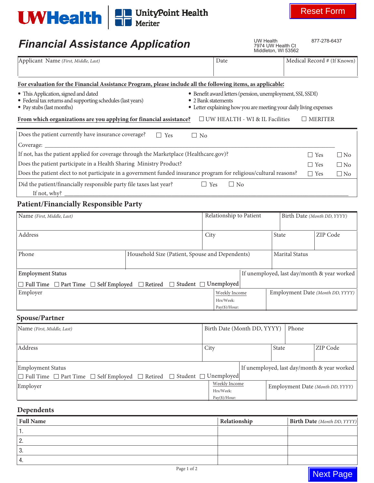

# **Financial Assistance Application**

**Next Page** 

| <b>UWHealth   ED</b> UnityPoint Health                                                                                                                                                                                                                                                                                                                              |                                                 |                                                                                                                                                         |                                                              |                             | <b>Reset Form</b>                |  |
|---------------------------------------------------------------------------------------------------------------------------------------------------------------------------------------------------------------------------------------------------------------------------------------------------------------------------------------------------------------------|-------------------------------------------------|---------------------------------------------------------------------------------------------------------------------------------------------------------|--------------------------------------------------------------|-----------------------------|----------------------------------|--|
| <b>Financial Assistance Application</b>                                                                                                                                                                                                                                                                                                                             |                                                 |                                                                                                                                                         | <b>UW Health</b><br>7974 UW Health Ct<br>Middleton, WI 53562 |                             | 877-278-6437                     |  |
| Applicant Name (First, Middle, Last)                                                                                                                                                                                                                                                                                                                                |                                                 | Date                                                                                                                                                    |                                                              |                             | Medical Record # (If Known)      |  |
| For evaluation for the Financial Assistance Program, please include all the following items, as applicable:                                                                                                                                                                                                                                                         |                                                 |                                                                                                                                                         |                                                              |                             |                                  |  |
| • This Application, signed and dated<br>• Federal tax returns and supporting schedules (last years)<br>• Pay stubs (last months)                                                                                                                                                                                                                                    |                                                 | · Benefit award letters (pension, unemployment, SSI, SSDI)<br>• 2 Bank statements<br>• Letter explaining how you are meeting your daily living expenses |                                                              |                             |                                  |  |
| From which organizations are you applying for financial assistance?                                                                                                                                                                                                                                                                                                 |                                                 | $\Box$ UW HEALTH - WI & IL Facilities                                                                                                                   |                                                              |                             | $\Box$ MERITER                   |  |
| Does the patient currently have insurance coverage?<br>$Coverage: \_\_$                                                                                                                                                                                                                                                                                             | $\Box$ Yes                                      | $\Box$ No                                                                                                                                               |                                                              |                             |                                  |  |
| If not, has the patient applied for coverage through the Marketplace (Healthcare.gov)?<br>$\Box$ Yes<br>$\Box$ No<br>Does the patient participate in a Health Sharing Ministry Product?<br>$\Box$ Yes<br>$\Box$ No<br>Does the patient elect to not participate in a government funded insurance program for religious/cultural reasons?<br>$\Box$ Yes<br>$\Box$ No |                                                 |                                                                                                                                                         |                                                              |                             |                                  |  |
| Did the patient/financially responsible party file taxes last year?<br>If not, why? $\overline{\qquad \qquad }$                                                                                                                                                                                                                                                     |                                                 | $\Box$ Yes<br>$\Box$ No                                                                                                                                 |                                                              |                             |                                  |  |
| <b>Patient/Financially Responsible Party</b>                                                                                                                                                                                                                                                                                                                        |                                                 |                                                                                                                                                         |                                                              |                             |                                  |  |
| Name (First, Middle, Last)                                                                                                                                                                                                                                                                                                                                          |                                                 | Relationship to Patient                                                                                                                                 |                                                              | Birth Date (Month DD, YYYY) |                                  |  |
| Address                                                                                                                                                                                                                                                                                                                                                             |                                                 | City                                                                                                                                                    | State                                                        |                             | ZIP Code                         |  |
| Phone                                                                                                                                                                                                                                                                                                                                                               | Household Size (Patient, Spouse and Dependents) |                                                                                                                                                         |                                                              | <b>Marital Status</b>       |                                  |  |
| <b>Employment Status</b>                                                                                                                                                                                                                                                                                                                                            |                                                 |                                                                                                                                                         | If unemployed, last day/month & year worked                  |                             |                                  |  |
| $\hfill\Box$<br>Full Time $\hfill\Box$<br>Part Time $\hfill\Box$<br>Self Employed $\hfill\Box$<br>Retired                                                                                                                                                                                                                                                           |                                                 | □ Student □ Unemployed                                                                                                                                  |                                                              |                             |                                  |  |
| Employer                                                                                                                                                                                                                                                                                                                                                            |                                                 | Weekly Income<br>Hrs/Week:<br>Pay(\$)/Hour:                                                                                                             |                                                              |                             | Employment Date (Month DD, YYYY) |  |
| <b>Spouse/Partner</b>                                                                                                                                                                                                                                                                                                                                               |                                                 |                                                                                                                                                         |                                                              |                             |                                  |  |
| Name (First, Middle, Last)                                                                                                                                                                                                                                                                                                                                          |                                                 |                                                                                                                                                         | Birth Date (Month DD, YYYY)                                  | Phone                       |                                  |  |
| Address                                                                                                                                                                                                                                                                                                                                                             |                                                 | City                                                                                                                                                    | State                                                        |                             | ZIP Code                         |  |
| <b>Employment Status</b><br>$\Box$ Full Time $\Box$ Part Time $\Box$ Self Employed $\Box$ Retired                                                                                                                                                                                                                                                                   | $\Box$ Student $\Box$                           | Unemployed                                                                                                                                              | If unemployed, last day/month & year worked                  |                             |                                  |  |
| Employer                                                                                                                                                                                                                                                                                                                                                            |                                                 | <b>Weekly Income</b><br>Hrs/Week:<br>Pay(\$)/Hour:                                                                                                      |                                                              |                             | Employment Date (Month DD, YYYY) |  |

# **Dependents**

| <b>Full Name</b> | Relationship | <b>Birth Date</b> (Month DD, YYYY) |
|------------------|--------------|------------------------------------|
| . .              |              |                                    |
| <u>.</u>         |              |                                    |
| . ن              |              |                                    |
|                  |              |                                    |